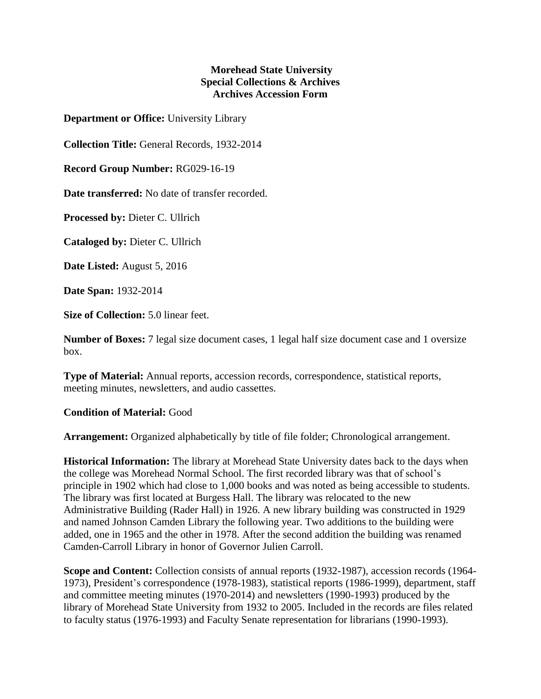## **Morehead State University Special Collections & Archives Archives Accession Form**

**Department or Office:** University Library

**Collection Title:** General Records, 1932-2014

**Record Group Number:** RG029-16-19

**Date transferred:** No date of transfer recorded.

**Processed by:** Dieter C. Ullrich

**Cataloged by:** Dieter C. Ullrich

**Date Listed:** August 5, 2016

**Date Span:** 1932-2014

**Size of Collection:** 5.0 linear feet.

**Number of Boxes:** 7 legal size document cases, 1 legal half size document case and 1 oversize box.

**Type of Material:** Annual reports, accession records, correspondence, statistical reports, meeting minutes, newsletters, and audio cassettes.

## **Condition of Material:** Good

**Arrangement:** Organized alphabetically by title of file folder; Chronological arrangement.

**Historical Information:** The library at Morehead State University dates back to the days when the college was Morehead Normal School. The first recorded library was that of school's principle in 1902 which had close to 1,000 books and was noted as being accessible to students. The library was first located at Burgess Hall. The library was relocated to the new Administrative Building (Rader Hall) in 1926. A new library building was constructed in 1929 and named Johnson Camden Library the following year. Two additions to the building were added, one in 1965 and the other in 1978. After the second addition the building was renamed Camden-Carroll Library in honor of Governor Julien Carroll.

**Scope and Content:** Collection consists of annual reports (1932-1987), accession records (1964- 1973), President's correspondence (1978-1983), statistical reports (1986-1999), department, staff and committee meeting minutes (1970-2014) and newsletters (1990-1993) produced by the library of Morehead State University from 1932 to 2005. Included in the records are files related to faculty status (1976-1993) and Faculty Senate representation for librarians (1990-1993).